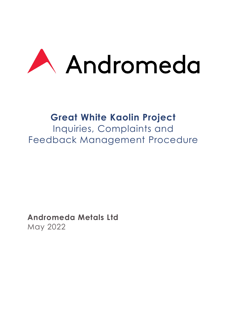

# **Great White Kaolin Project**

Inquiries, Complaints and Feedback Management Procedure

**Andromeda Metals Ltd** May 2022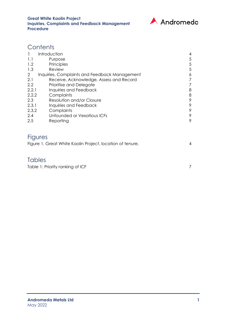

## **Contents**

|                | Introduction                                  | $\overline{4}$ |
|----------------|-----------------------------------------------|----------------|
| 1.1            | Purpose                                       | 5              |
| 1.2            | Principles                                    | 5              |
| 1.3            | Review                                        | 5              |
| $\overline{2}$ | Inquiries, Complaints and Feedback Management | 6              |
| 2.1            | Receive, Acknowledge, Assess and Record       |                |
| 2.2            | Prioritise and Delegate                       |                |
| 2.2.1          | Inquiries and Feedback                        | 8              |
| 2.2.2          | Complaints                                    | 8              |
| 2.3            | Resolution and/or Closure                     | 9              |
| 2.3.1          | Inquiries and Feedback                        | 9              |
| 2.3.2          | Complaints                                    | 9              |
| 2.4            | Unfounded or Vexatious ICFs                   | 9              |
| 2.5            | Reporting                                     | 9              |
|                |                                               |                |
|                |                                               |                |

## Figures

| Figure 1. Great White Kaolin Project, location of tenure. |  |
|-----------------------------------------------------------|--|
|                                                           |  |

### **Tables**

[Table 1: Priority ranking of ICF](#page-7-2) 7 7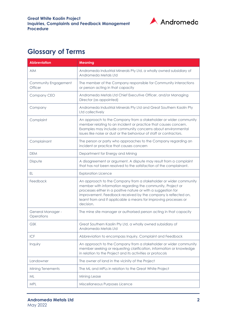

# **Glossary of Terms**

| <b>Abbreviation</b>                    | <b>Meaning</b>                                                                                                                                                                                                                                                                                                                                       |
|----------------------------------------|------------------------------------------------------------------------------------------------------------------------------------------------------------------------------------------------------------------------------------------------------------------------------------------------------------------------------------------------------|
| <b>AIM</b>                             | Andromeda Industrial Minerals Pty Ltd, a wholly owned subsidiary of<br>Andromeda Metals Ltd                                                                                                                                                                                                                                                          |
| Community Engagement<br><b>Officer</b> | The member of the Company responsible for Community interactions<br>or person acting in that capacity                                                                                                                                                                                                                                                |
| Company CEO                            | Andromeda Metals Ltd Chief Executive Officer, and/or Managing<br>Director (as appointed)                                                                                                                                                                                                                                                             |
| Company                                | Andromeda Industrial Minerals Pty Ltd and Great Southern Kaolin Pty<br>Ltd collectively                                                                                                                                                                                                                                                              |
| Complaint                              | An approach to the Company from a stakeholder or wider community<br>member relating to an incident or practice that causes concern.<br>Examples may include community concerns about environmental<br>issues like noise or dust or the behaviour of staff or contractors.                                                                            |
| Complainant                            | The person or party who approaches to the Company regarding an<br>incident or practice that causes concern                                                                                                                                                                                                                                           |
| <b>DEM</b>                             | Department for Energy and Mining                                                                                                                                                                                                                                                                                                                     |
| Dispute                                | A disagreement or argument. A dispute may result from a complaint<br>that has not been resolved to the satisfaction of the complainant.                                                                                                                                                                                                              |
| EL.                                    | <b>Exploration Licence</b>                                                                                                                                                                                                                                                                                                                           |
| Feedback                               | An approach to the Company from a stakeholder or wider community<br>member with information regarding the community, Project or<br>processes either in a positive nature or with a suggestion for<br>improvement. Feedback received by the company is reflected on,<br>learnt from and if applicable a means for improving processes or<br>decision. |
| General Manager -<br>Operations        | The mine site manager or authorised person acting in that capacity                                                                                                                                                                                                                                                                                   |
| <b>GSK</b>                             | Great Southern Kaolin Pty Ltd, a wholly owned subsidiary of<br>Andromeda Metals Ltd                                                                                                                                                                                                                                                                  |
| <b>ICF</b>                             | Abbreviation to encompass Inquiry, Complaint and Feedback                                                                                                                                                                                                                                                                                            |
| Inquiry                                | An approach to the Company from a stakeholder or wider community<br>member seeking or requesting clarification, information or knowledge<br>in relation to the Project and its activities or protocols                                                                                                                                               |
| Landowner                              | The owner of land in the vicinity of the Project                                                                                                                                                                                                                                                                                                     |
| Mining Tenements                       | The ML and MPLs in relation to the Great White Project                                                                                                                                                                                                                                                                                               |
| ML                                     | Mining Lease                                                                                                                                                                                                                                                                                                                                         |
| <b>MPL</b>                             | Miscellaneous Purposes Licence                                                                                                                                                                                                                                                                                                                       |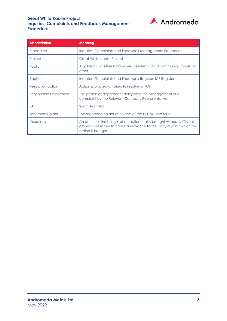#### **Great White Kaolin Project Inquiries, Complaints and Feedback Management Procedure**



| <b>Abbreviation</b>    | <b>Meaning</b>                                                                                                                                                        |  |
|------------------------|-----------------------------------------------------------------------------------------------------------------------------------------------------------------------|--|
| Procedure              | Inquiries, Complaints and Feedback Management Procedure                                                                                                               |  |
| Project                | Great White Kaolin Project                                                                                                                                            |  |
| <b>Public</b>          | All persons, whether landowners, residents, local community, tourists or<br>other                                                                                     |  |
| Register               | Inquiries, Complaints and Feedback Register; ICF Register                                                                                                             |  |
| Resolution action      | Action proposed or taken to resolve an ICF                                                                                                                            |  |
| Responsible Department | The person or department delegated the management of a<br>complaint by the Relevant Company Representative                                                            |  |
| <b>SA</b>              | South Australia                                                                                                                                                       |  |
| <b>Tenement Holder</b> | The registered holder or holders of the ELs, ML and MPLs                                                                                                              |  |
| Vexatious              | An action or the bringer of an action that is brought without sufficient<br>grounds but rather to cause annoyance to the party against which the<br>action is brought |  |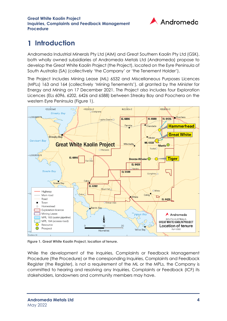

#### <span id="page-4-0"></span>**Introduction** 1

Andromeda Industrial Minerals Pty Ltd (AIM) and Great Southern Kaolin Pty Ltd (GSK), both wholly owned subsidiaries of Andromeda Metals Ltd (Andromeda) propose to develop the Great White Kaolin Project (the Project), located on the Eyre Peninsula of South Australia (SA) (collectively 'the Company' or 'the Tenement Holder').

The Project includes Mining Lease (ML) 6532 and Miscellaneous Purposes Licences (MPLs) 163 and 164 (collectively 'Mining Tenements'), all granted by the Minister for Energy and Mining on 17 December 2021. The Project also includes four Exploration Licences (ELs 6096, 6202, 6426 and 6588) between Streaky Bay and Poochera on the western Eyre Peninsula [\(Figure 1\)](#page-4-1).



**Figure 1. Great White Kaolin Project, location of tenure.**

<span id="page-4-1"></span>While the development of the Inquiries, Complaints or Feedback Management Procedure (the Procedure) or the corresponding Inquiries, Complaints and Feedback Register (the Register), is not a requirement of the ML or the MPLs, the Company is committed to hearing and resolving any Inquiries, Complaints or Feedback (ICF) its stakeholders, landowners and community members may have.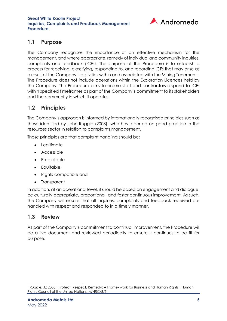

### <span id="page-5-0"></span>**1.1 Purpose**

The Company recognises the importance of an effective mechanism for the management, and where appropriate, remedy of individual and community inquiries, complaints and feedback (ICFs). The purpose of the Procedure is to establish a process for receiving, classifying, responding to, and recording ICFs that may arise as a result of the Company's activities within and associated with the Mining Tenements. The Procedure does not include operations within the Exploration Licences held by the Company. The Procedure aims to ensure staff and contractors respond to ICFs within specified timeframes as part of the Company's commitment to its stakeholders and the community in which it operates.

## <span id="page-5-1"></span>**1.2 Principles**

The Company's approach is informed by internationally recognised principles such as those identified by John Ruggie (2008)<sup>1</sup> who has reported on good practice in the resources sector in relation to complaints management.

Those principles are that complaint handling should be:

- Legitimate
- Accessible
- Predictable
- Equitable
- Rights-compatible and
- Transparent

In addition, at an operational level, it should be based on engagement and dialogue, be culturally appropriate, proportional, and foster continuous improvement. As such, the Company will ensure that all inquiries, complaints and feedback received are handled with respect and responded to in a timely manner.

#### <span id="page-5-2"></span>**1.3 Review**

As part of the Company's commitment to continual improvement, the Procedure will be a live document and reviewed periodically to ensure it continues to be fit for purpose.

<sup>1</sup> Ruggie, J.: 2008, 'Protect, Respect, Remedy: A Frame- work for Business and Human Rights', Human Rights Council of the United Nations, A/HRC/8/5.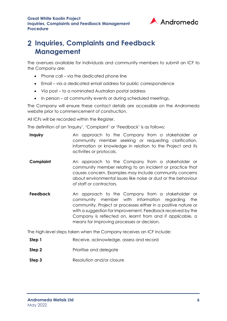

## <span id="page-6-0"></span>**Inquiries, Complaints and Feedback Management**

The avenues available for individuals and community members to submit an ICF to the Company are:

- Phone call via the dedicated phone line
- Email via a dedicated email address for public correspondence
- Via post to a nominated Australian postal address
- In person at community events or during scheduled meetings.

The Company will ensure these contact details are accessible on the Andromeda website prior to commencement of construction.

All ICFs will be recorded within the Register.

The definition of an 'Inquiry', 'Complaint' or 'Feedback' is as follows:

- **Inquiry An approach to the Company from a stakeholder or** community member seeking or requesting clarification, information or knowledge in relation to the Project and its activities or protocols.
- **Complaint** An approach to the Company from a stakeholder or community member relating to an incident or practice that causes concern. Examples may include community concerns about environmental issues like noise or dust or the behaviour of staff or contractors.
- **Feedback** An approach to the Company from a stakeholder or community member with information regarding the community, Project or processes either in a positive nature or with a suggestion for improvement. Feedback received by the Company is reflected on, learnt from and if applicable, a means for improving processes or decision.

The high-level steps taken when the Company receives an ICF include:

- **Step 1** Receive, acknowledge, assess and record
- **Step 2** Prioritise and delegate
- **Step 3** Resolution and/or closure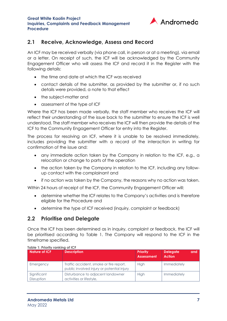

#### <span id="page-7-0"></span>**2.1 Receive, Acknowledge, Assess and Record**

An ICF may be received verbally (via phone call, in person or at a meeting), via email or a letter. On receipt of such, the ICF will be acknowledged by the Community Engagement Officer who will assess the ICF and record it in the Register with the following details:

- the time and date at which the ICF was received
- contact details of the submitter, as provided by the submitter or, if no such details were provided, a note to that effect
- the subject-matter and
- assessment of the type of ICF

Where the ICF has been made verbally, the staff member who receives the ICF will reflect their understanding of the issue back to the submitter to ensure the ICF is well understood. The staff member who receives the ICF will then provide the details of the ICF to the Community Engagement Officer for entry into the Register.

The process for resolving an ICF, where it is unable to be resolved immediately, includes providing the submitter with a record of the interaction in writing for confirmation of the issue and:

- any immediate action taken by the Company in relation to the ICF, e.g., a relocation or change to parts of the operation
- the action taken by the Company in relation to the ICF, including any followup contact with the complainant and
- if no action was taken by the Company, the reasons why no action was taken.

Within 24 hours of receipt of the ICF, the Community Engagement Officer will:

- determine whether the ICF relates to the Company's activities and is therefore eligible for the Procedure and
- determine the type of ICF received (inquiry, complaint or feedback)

#### <span id="page-7-1"></span>**2.2 Prioritise and Delegate**

Once the ICF has been determined as in inquiry, complaint or feedback, the ICF will be prioritised according to [Table 1.](#page-7-2) The Company will respond to the ICF in the timeframe specified.

<span id="page-7-2"></span>

| <b>Nature of ICF</b>      | <b>Description</b>                                                                    | Priority<br><b>Assessment</b> | and<br><b>Delegate</b><br><b>Action</b> |
|---------------------------|---------------------------------------------------------------------------------------|-------------------------------|-----------------------------------------|
| Emergency                 | Traffic accident, smoke or fire report,<br>public involved injury or potential injury | <b>High</b>                   | Immediately                             |
| Significant<br>Disruption | Disturbance to adjacent landowner<br>activities or lifestyle,                         | <b>High</b>                   | Immediately                             |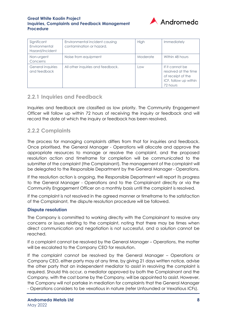#### **Great White Kaolin Project Inquiries, Complaints and Feedback Management Procedure**



| Significant<br>Environmental<br>Hazard/Incident | Environmental incident causing<br>contamination or hazard. | High     | Immediately                                                                                       |
|-------------------------------------------------|------------------------------------------------------------|----------|---------------------------------------------------------------------------------------------------|
| Non-urgent<br>Concerns                          | Noise from equipment                                       | Moderate | Within 48 hours                                                                                   |
| General inquiries<br>and feedback               | All other inquiries and feedback.                          | Low      | If it cannot be<br>resolved at the time<br>of receipt of the<br>ICF, follow up within<br>72 hours |

#### <span id="page-8-0"></span>**2.2.1 Inquiries and Feedback**

Inquiries and feedback are classified as low priority. The Community Engagement Officer will follow up within 72 hours of receiving the inquiry or feedback and will record the date at which the inquiry or feedback has been resolved.

#### <span id="page-8-1"></span>**2.2.2 Complaints**

The process for managing complaints differs from that for inquiries and feedback. Once prioritised, the General Manager - Operations will allocate and approve the appropriate resources to manage or resolve the complaint, and the proposed resolution action and timeframe for completion will be communicated to the submitter of the complaint (the Complainant). The management of the complaint will be delegated to the Responsible Department by the General Manager - Operations.

If the resolution action is ongoing, the Responsible Department will report its progress to the General Manager - Operations and to the Complainant directly or via the Community Engagement Officer on a monthly basis until the complaint is resolved.

If the complaint is not resolved in the agreed manner or timeframe to the satisfaction of the Complainant, the dispute resolution procedure will be followed.

#### **Dispute resolution**

The Company is committed to working directly with the Complainant to resolve any concerns or issues relating to the complaint, noting that there may be times when direct communication and negotiation is not successful, and a solution cannot be reached.

If a complaint cannot be resolved by the General Manager – Operations, the matter will be escalated to the Company CEO for resolution.

If the complaint cannot be resolved by the General Manager – Operations or Company CEO, either party may at any time, by giving 21 days written notice, advise the other party that an independent mediator to assist in resolving the complaint is required. Should this occur, a mediator approved by both the Complainant and the Company, with the cost borne by the Company, will be appointed to assist. However, the Company will not partake in mediation for complaints that the General Manager - Operations considers to be vexatious in nature (refer [Unfounded or Vexatious ICFs\)](#page-9-3).